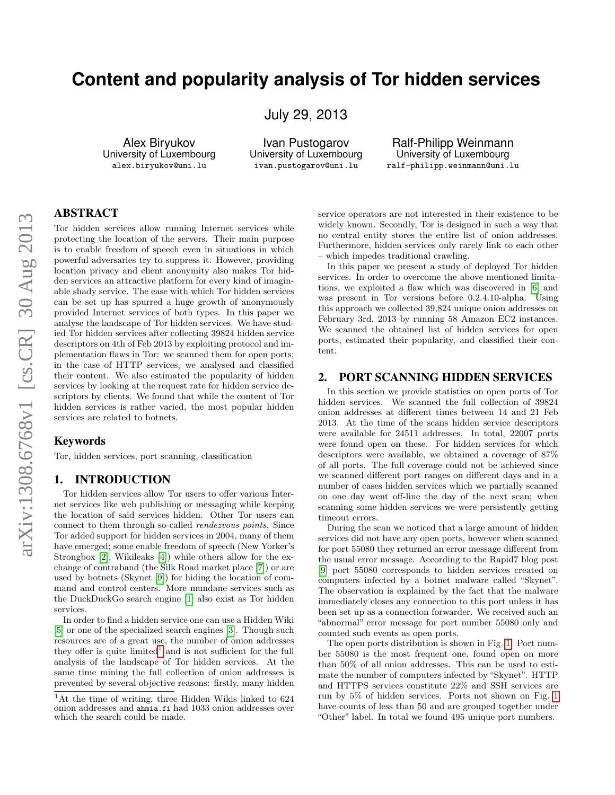# **Content and popularity analysis of Tor hidden services**

July 29, 2013

Alex Biryukov University of Luxembourg alex.biryukov@uni.lu

Ivan Pustogarov University of Luxembourg ivan.pustogarov@uni.lu

Ralf-Philipp Weinmann University of Luxembourg ralf-philipp.weinmann@uni.lu

# ABSTRACT

Tor hidden services allow running Internet services while protecting the location of the servers. Their main purpose is to enable freedom of speech even in situations in which powerful adversaries try to suppress it. However, providing location privacy and client anonymity also makes Tor hidden services an attractive platform for every kind of imaginable shady service. The ease with which Tor hidden services can be set up has spurred a huge growth of anonymously provided Internet services of both types. In this paper we analyse the landscape of Tor hidden services. We have studied Tor hidden services after collecting 39824 hidden service descriptors on 4th of Feb 2013 by exploiting protocol and implementation flaws in Tor: we scanned them for open ports; in the case of HTTP services, we analysed and classified their content. We also estimated the popularity of hidden services by looking at the request rate for hidden service descriptors by clients. We found that while the content of Tor hidden services is rather varied, the most popular hidden services are related to botnets.

#### Keywords

Tor, hidden services, port scanning, classification

## 1. INTRODUCTION

Tor hidden services allow Tor users to offer various Internet services like web publishing or messaging while keeping the location of said services hidden. Other Tor users can connect to them through so-called rendezvous points. Since Tor added support for hidden services in 2004, many of them have emerged; some enable freedom of speech (New Yorker's Strongbox [\[2\]](#page-3-0), Wikileaks [\[4\]](#page-3-1)) while others allow for the exchange of contraband (the Silk Road market place [\[7\]](#page-3-2)) or are used by botnets (Skynet [\[9\]](#page-3-3)) for hiding the location of command and control centers. More mundane services such as the DuckDuckGo search engine [\[1\]](#page-3-4) also exist as Tor hidden services.

In order to find a hidden service one can use a Hidden Wiki [\[5\]](#page-3-5) or one of the specialized search engines [\[3\]](#page-3-6). Though such resources are of a great use, the number of onion addresses they offer is quite  $limited<sup>1</sup>$  $limited<sup>1</sup>$  $limited<sup>1</sup>$  and is not sufficient for the full analysis of the landscape of Tor hidden services. At the same time mining the full collection of onion addresses is prevented by several objective reasons: firstly, many hidden service operators are not interested in their existence to be widely known. Secondly, Tor is designed in such a way that no central entity stores the entire list of onion addresses. Furthermore, hidden services only rarely link to each other – which impedes traditional crawling.

In this paper we present a study of deployed Tor hidden services. In order to overcome the above mentioned limitations, we exploited a flaw which was discovered in [\[6\]](#page-3-7) and was present in Tor versions before 0.2.4.10-alpha. Using this approach we collected 39,824 unique onion addresses on February 3rd, 2013 by running 58 Amazon EC2 instances. We scanned the obtained list of hidden services for open ports, estimated their popularity, and classified their content.

# 2. PORT SCANNING HIDDEN SERVICES

In this section we provide statistics on open ports of Tor hidden services. We scanned the full collection of 39824 onion addresses at different times between 14 and 21 Feb 2013. At the time of the scans hidden service descriptors were available for 24511 addresses. In total, 22007 ports were found open on these. For hidden services for which descriptors were available, we obtained a coverage of 87% of all ports. The full coverage could not be achieved since we scanned different port ranges on different days and in a number of cases hidden services which we partially scanned on one day went off-line the day of the next scan; when scanning some hidden services we were persistently getting timeout errors.

During the scan we noticed that a large amount of hidden services did not have any open ports, however when scanned for port 55080 they returned an error message different from the usual error message. According to the Rapid7 blog post [\[9\]](#page-3-3) port 55080 corresponds to hidden services created on computers infected by a botnet malware called "Skynet". The observation is explained by the fact that the malware immediately closes any connection to this port unless it has been set up as a connection forwarder. We received such an "abnormal" error message for port number 55080 only and counted such events as open ports.

The open ports distribution is shown in Fig. [1.](#page-1-0) Port number 55080 is the most frequent one, found open on more than 50% of all onion addresses. This can be used to estimate the number of computers infected by "Skynet". HTTP and HTTPS services constitute 22% and SSH services are run by 5% of hidden services. Ports not shown on Fig. [1](#page-1-0) have counts of less than 50 and are grouped together under "Other" label. In total we found 495 unique port numbers.

<span id="page-0-0"></span> $1$ At the time of writing, three Hidden Wikis linked to 624 onion addresses and ahmia.fi had 1033 onion addresses over which the search could be made.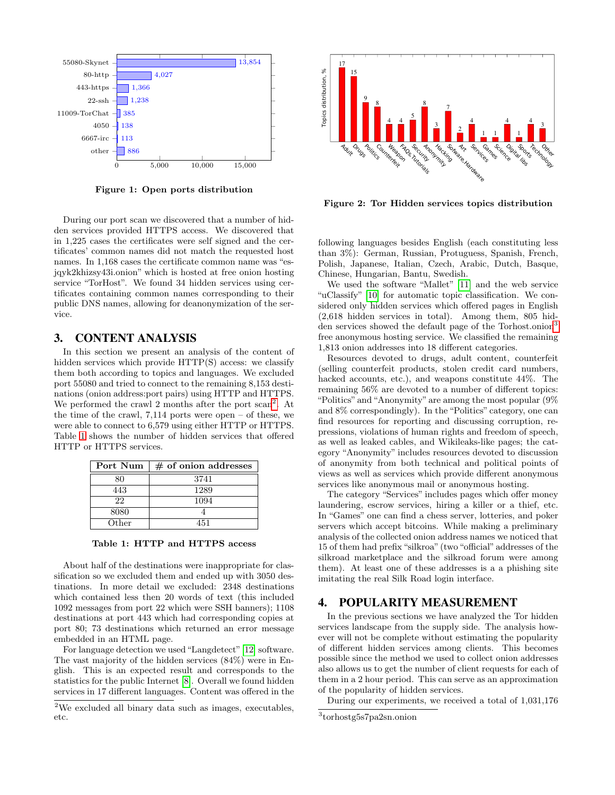

<span id="page-1-0"></span>Figure 1: Open ports distribution

During our port scan we discovered that a number of hidden services provided HTTPS access. We discovered that in 1,225 cases the certificates were self signed and the certificates' common names did not match the requested host names. In 1,168 cases the certificate common name was "esjqyk2khizsy43i.onion" which is hosted at free onion hosting service "TorHost". We found 34 hidden services using certificates containing common names corresponding to their public DNS names, allowing for deanonymization of the service.  $\begin{tabular}{|c||c|} \hline & slow & $5,600$ & $10,000$ & $16,000$ \\ \hline & 6 & 6,000$ & $16,000$ & $16,000$ \\ \hline & 6 & 6,000$ & $16,000$ & $16,000$ \\ \hline & 12276~csc s & the critical case, 1486~s & the number of hidden services provided HTTPS across. We discovered that in 1228~csc s & the critical case, 1486~s & the number of hidden services and and the order of the channel, 1486~s & the number of the model, 1486~s & the number of the model, 1486$ 

#### 3. CONTENT ANALYSIS

In this section we present an analysis of the content of hidden services which provide HTTP(S) access: we classify them both according to topics and languages. We excluded port 55080 and tried to connect to the remaining 8,153 destinations (onion address:port pairs) using HTTP and HTTPS. We performed the crawl [2](#page-1-1) months after the port scan<sup>2</sup>. At the time of the crawl, 7,114 ports were open – of these, we were able to connect to 6,579 using either HTTP or HTTPS. Table [1](#page-1-2) shows the number of hidden services that offered HTTP or HTTPS services.

| Port Num | $\#$ of onion addresses |  |  |  |
|----------|-------------------------|--|--|--|
| ጻበ       | 3741                    |  |  |  |
| 443      | 1289                    |  |  |  |
| 22       | 1094                    |  |  |  |
| 8080     |                         |  |  |  |
| Other    | 451                     |  |  |  |

<span id="page-1-2"></span>

About half of the destinations were inappropriate for classification so we excluded them and ended up with 3050 destinations. In more detail we excluded: 2348 destinations which contained less then 20 words of text (this included 1092 messages from port 22 which were SSH banners); 1108 destinations at port 443 which had corresponding copies at port 80; 73 destinations which returned an error message embedded in an HTML page.

For language detection we used "Langdetect" [\[12\]](#page-3-8) software. The vast majority of the hidden services (84%) were in English. This is an expected result and corresponds to the statistics for the public Internet [\[8\]](#page-3-9). Overall we found hidden services in 17 different languages. Content was offered in the



Figure 2: Tor Hidden services topics distribution

following languages besides English (each constituting less than 3%): German, Russian, Protuguess, Spanish, French, Polish, Japanese, Italian, Czech, Arabic, Dutch, Basque, Chinese, Hungarian, Bantu, Swedish.

We used the software "Mallet" [\[11\]](#page-3-10) and the web service "uClassify" [\[10\]](#page-3-11) for automatic topic classification. We considered only hidden services which offered pages in English (2,618 hidden services in total). Among them, 805 hid-den services showed the default page of the Torhost.onion<sup>[3](#page-1-3)</sup> free anonymous hosting service. We classified the remaining 1,813 onion addresses into 18 different categories.

Resources devoted to drugs, adult content, counterfeit (selling counterfeit products, stolen credit card numbers, hacked accounts, etc.), and weapons constitute 44%. The remaining 56% are devoted to a number of different topics: "Politics" and "Anonymity" are among the most popular (9% and 8% correspondingly). In the "Politics" category, one can find resources for reporting and discussing corruption, repressions, violations of human rights and freedom of speech, as well as leaked cables, and Wikileaks-like pages; the category "Anonymity" includes resources devoted to discussion of anonymity from both technical and political points of views as well as services which provide different anonymous services like anonymous mail or anonymous hosting.

The category "Services" includes pages which offer money laundering, escrow services, hiring a killer or a thief, etc. In "Games" one can find a chess server, lotteries, and poker servers which accept bitcoins. While making a preliminary analysis of the collected onion address names we noticed that 15 of them had prefix "silkroa" (two "official" addresses of the silkroad marketplace and the silkroad forum were among them). At least one of these addresses is a a phishing site imitating the real Silk Road login interface.

## 4. POPULARITY MEASUREMENT

In the previous sections we have analyzed the Tor hidden services landscape from the supply side. The analysis however will not be complete without estimating the popularity of different hidden services among clients. This becomes possible since the method we used to collect onion addresses also allows us to get the number of client requests for each of them in a 2 hour period. This can serve as an approximation of the popularity of hidden services.

During our experiments, we received a total of 1,031,176

<span id="page-1-1"></span> $^{2}\rm{We}$  excluded all binary data such as images, executables, etc.

<span id="page-1-3"></span><sup>3</sup> torhostg5s7pa2sn.onion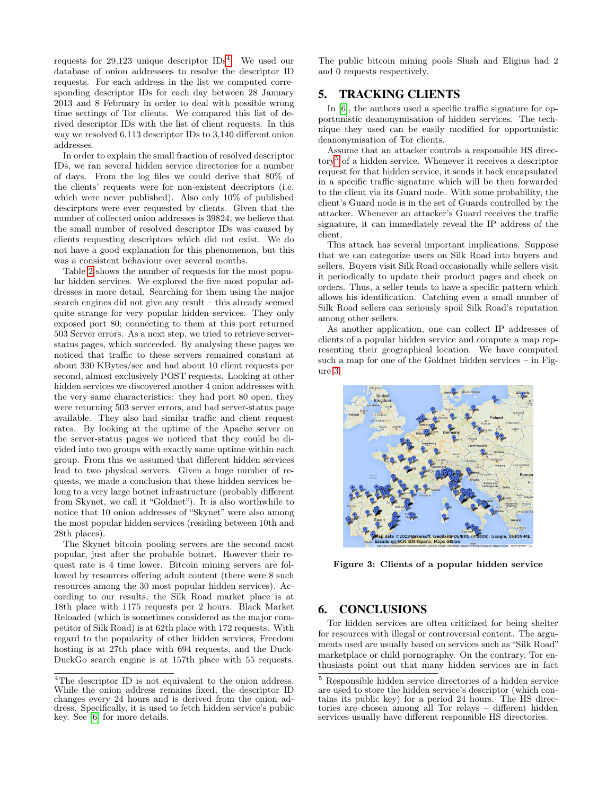requests for 29,123 unique descriptor  $\text{IDs}^4$  $\text{IDs}^4$ . We used our database of onion addressees to resolve the descriptor ID requests. For each address in the list we computed corresponding descriptor IDs for each day between 28 January 2013 and 8 February in order to deal with possible wrong time settings of Tor clients. We compared this list of derived descriptor IDs with the list of client requests. In this way we resolved 6,113 descriptor IDs to 3,140 different onion addresses.

In order to explain the small fraction of resolved descriptor IDs, we ran several hidden service directories for a number of days. From the log files we could derive that 80% of the clients' requests were for non-existent descriptors (i.e. which were never published). Also only 10% of published descirptors were ever requested by clients. Given that the number of collected onion addresses is 39824, we believe that the small number of resolved descriptor IDs was caused by clients requesting descriptors which did not exist. We do not have a good explanation for this phenomenon, but this was a consistent behaviour over several months.

Table [2](#page-3-12) shows the number of requests for the most popular hidden services. We explored the five most popular addresses in more detail. Searching for them using the major search engines did not give any result – this already seemed quite strange for very popular hidden services. They only exposed port 80; connecting to them at this port returned 503 Server errors. As a next step, we tried to retrieve serverstatus pages, which succeeded. By analysing these pages we noticed that traffic to these servers remained constant at about 330 KBytes/sec and had about 10 client requests per second, almost exclusively POST requests. Looking at other hidden services we discovered another 4 onion addresses with the very same characteristics: they had port 80 open, they were returning 503 server errors, and had server-status page available. They also had similar traffic and client request rates. By looking at the uptime of the Apache server on the server-status pages we noticed that they could be divided into two groups with exactly same uptime within each group. From this we assumed that different hidden services lead to two physical servers. Given a huge number of requests, we made a conclusion that these hidden services belong to a very large botnet infrastructure (probably different from Skynet, we call it "Goldnet"). It is also worthwhile to notice that 10 onion addresses of "Skynet" were also among the most popular hidden services (residing between 10th and 28th places).

The Skynet bitcoin pooling servers are the second most popular, just after the probable botnet. However their request rate is 4 time lower. Bitcoin mining servers are followed by resources offering adult content (there were 8 such resources among the 30 most popular hidden services). According to our results, the Silk Road market place is at 18th place with 1175 requests per 2 hours. Black Market Reloaded (which is sometimes considered as the major competitor of Silk Road) is at 62th place with 172 requests. With regard to the popularity of other hidden services, Freedom hosting is at 27th place with 694 requests, and the Duck-DuckGo search engine is at 157th place with 55 requests.

The public bitcoin mining pools Slush and Eligius had 2 and 0 requests respectively.

#### 5. TRACKING CLIENTS

In [\[6\]](#page-3-7), the authors used a specific traffic signature for opportunistic deanonymisation of hidden services. The technique they used can be easily modified for opportunistic deanonymisation of Tor clients.

Assume that an attacker controls a responsible HS direc-tory<sup>[5](#page-2-1)</sup> of a hidden service. Whenever it receives a descriptor request for that hidden service, it sends it back encapsulated in a specific traffic signature which will be then forwarded to the client via its Guard node. With some probability, the client's Guard node is in the set of Guards controlled by the attacker. Whenever an attacker's Guard receives the traffic signature, it can immediately reveal the IP address of the client.

This attack has several important implications. Suppose that we can categorize users on Silk Road into buyers and sellers. Buyers visit Silk Road occasionally while sellers visit it periodically to update their product pages and check on orders. Thus, a seller tends to have a specific pattern which allows his identification. Catching even a small number of Silk Road sellers can seriously spoil Silk Road's reputation among other sellers.

As another application, one can collect IP addresses of clients of a popular hidden service and compute a map representing their geographical location. We have computed such a map for one of the Goldnet hidden services – in Figure [3.](#page-2-2)



<span id="page-2-2"></span>Figure 3: Clients of a popular hidden service

# 6. CONCLUSIONS

Tor hidden services are often criticized for being shelter for resources with illegal or controversial content. The arguments used are usually based on services such as "Silk Road" marketplace or child pornography. On the contrary, Tor enthusiasts point out that many hidden services are in fact

<span id="page-2-0"></span><sup>4</sup>The descriptor ID is not equivalent to the onion address. While the onion address remains fixed, the descriptor ID changes every 24 hours and is derived from the onion address. Specifically, it is used to fetch hidden service's public key. See [\[6\]](#page-3-7) for more details.

<span id="page-2-1"></span><sup>5</sup> Responsible hidden service directories of a hidden service are used to store the hidden service's descriptor (which contains its public key) for a period 24 hours. The HS directories are chosen among all Tor relays – different hidden services usually have different responsible HS directories.